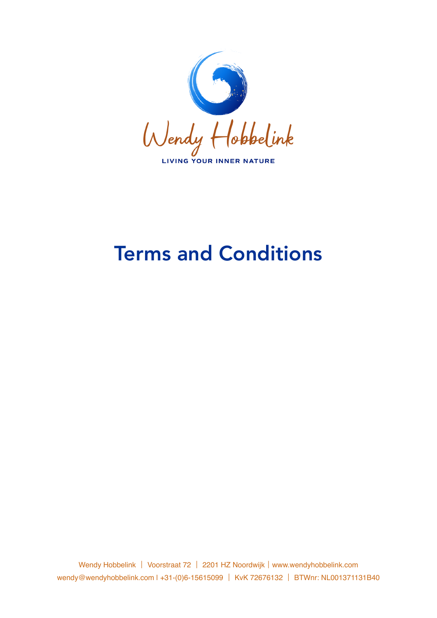

# Terms and Conditions

Wendy Hobbelink | Voorstraat 72 | 2201 HZ Noordwijk | [www.wendyhobbelink.com](https://www.wendyhobbelink.com) [wendy@wendyhobbelink.com](mailto:wendy@wendyhobbelink.com) | +31-(0)6-15615099 | KvK 72676132 | BTWnr: NL001371131B40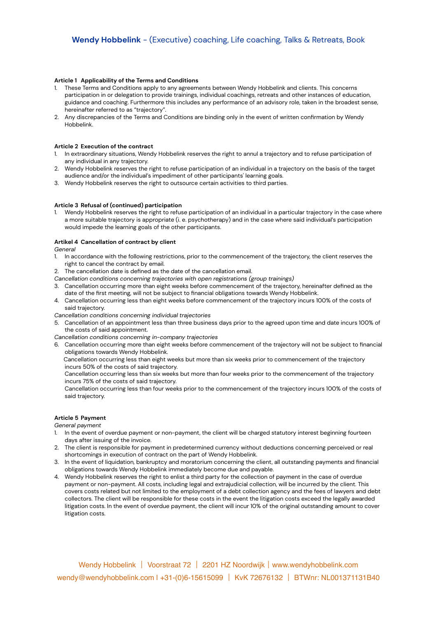#### **Article 1 Applicability of the Terms and Conditions**

- 1. These Terms and Conditions apply to any agreements between Wendy Hobbelink and clients. This concerns participation in or delegation to provide trainings, individual coachings, retreats and other instances of education, guidance and coaching. Furthermore this includes any performance of an advisory role, taken in the broadest sense, hereinafter referred to as "trajectory".
- 2. Any discrepancies of the Terms and Conditions are binding only in the event of written confirmation by Wendy Hobbelink.

#### **Article 2 Execution of the contract**

- 1. In extraordinary situations, Wendy Hobbelink reserves the right to annul a trajectory and to refuse participation of any individual in any trajectory.
- 2. Wendy Hobbelink reserves the right to refuse participation of an individual in a trajectory on the basis of the target audience and/or the individual's impediment of other participants' learning goals.
- 3. Wendy Hobbelink reserves the right to outsource certain activities to third parties.

#### **Article 3 Refusal of (continued) participation**

1. Wendy Hobbelink reserves the right to refuse participation of an individual in a particular trajectory in the case where a more suitable trajectory is appropriate (i. e. psychotherapy) and in the case where said individual's participation would impede the learning goals of the other participants.

#### **Artikel 4 Cancellation of contract by client**

*General* 

- 1. In accordance with the following restrictions, prior to the commencement of the trajectory, the client reserves the right to cancel the contract by email.
- 2. The cancellation date is defined as the date of the cancellation email.
- *Cancellation conditions concerning trajectories with open registrations (group trainings)*
- 3. Cancellation occurring more than eight weeks before commencement of the trajectory, hereinafter defined as the date of the first meeting, will not be subject to financial obligations towards Wendy Hobbelink.
- 4. Cancellation occurring less than eight weeks before commencement of the trajectory incurs 100% of the costs of said trajectory.

*Cancellation conditions concerning individual trajectories* 

- 5. Cancellation of an appointment less than three business days prior to the agreed upon time and date incurs 100% of the costs of said appointment.
- *Cancellation conditions concerning in-company trajectories*

6. Cancellation occurring more than eight weeks before commencement of the trajectory will not be subject to financial obligations towards Wendy Hobbelink.

 Cancellation occurring less than eight weeks but more than six weeks prior to commencement of the trajectory incurs 50% of the costs of said trajectory.

Cancellation occurring less than six weeks but more than four weeks prior to the commencement of the trajectory incurs 75% of the costs of said trajectory.

Cancellation occurring less than four weeks prior to the commencement of the trajectory incurs 100% of the costs of said trajectory.

# **Article 5 Payment**

*General payment* 

- 1. In the event of overdue payment or non-payment, the client will be charged statutory interest beginning fourteen days after issuing of the invoice.
- 2. The client is responsible for payment in predetermined currency without deductions concerning perceived or real shortcomings in execution of contract on the part of Wendy Hobbelink.
- 3. In the event of liquidation, bankruptcy and moratorium concerning the client, all outstanding payments and financial obligations towards Wendy Hobbelink immediately become due and payable.
- 4. Wendy Hobbelink reserves the right to enlist a third party for the collection of payment in the case of overdue payment or non-payment. All costs, including legal and extrajudicial collection, will be incurred by the client. This covers costs related but not limited to the employment of a debt collection agency and the fees of lawyers and debt collectors. The client will be responsible for these costs in the event the litigation costs exceed the legally awarded litigation costs. In the event of overdue payment, the client will incur 10% of the original outstanding amount to cover litigation costs.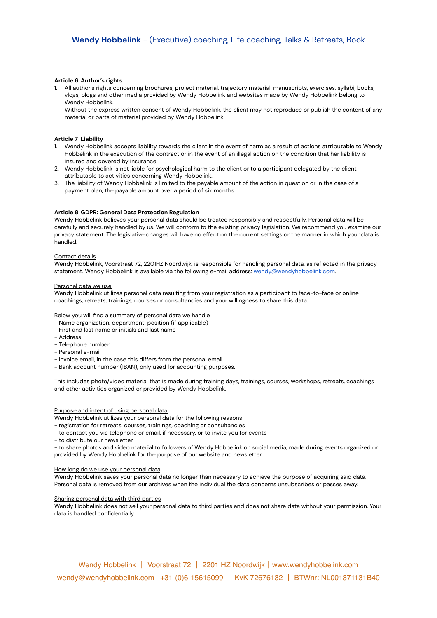#### **Article 6 Author's rights**

1. All author's rights concerning brochures, project material, trajectory material, manuscripts, exercises, syllabi, books, vlogs, blogs and other media provided by Wendy Hobbelink and websites made by Wendy Hobbelink belong to Wendy Hobbelink.

Without the express written consent of Wendy Hobbelink, the client may not reproduce or publish the content of any material or parts of material provided by Wendy Hobbelink.

## **Article 7 Liability**

- 1. Wendy Hobbelink accepts liability towards the client in the event of harm as a result of actions attributable to Wendy Hobbelink in the execution of the contract or in the event of an illegal action on the condition that her liability is insured and covered by insurance.
- 2. Wendy Hobbelink is not liable for psychological harm to the client or to a participant delegated by the client attributable to activities concerning Wendy Hobbelink.
- 3. The liability of Wendy Hobbelink is limited to the payable amount of the action in question or in the case of a payment plan, the payable amount over a period of six months.

# **Article 8 GDPR: General Data Protection Regulation**

Wendy Hobbelink believes your personal data should be treated responsibly and respectfully. Personal data will be carefully and securely handled by us. We will conform to the existing privacy legislation. We recommend you examine our privacy statement. The legislative changes will have no effect on the current settings or the manner in which your data is handled.

#### Contact details

Wendy Hobbelink, Voorstraat 72, 2201HZ Noordwijk, is responsible for handling personal data, as reflected in the privacy statement. Wendy Hobbelink is available via the following e-mail address: [wendy@wendyhobbelink.com](mailto:wendy@wendyhobbelink.com).

#### Personal data we use

Wendy Hobbelink utilizes personal data resulting from your registration as a participant to face-to-face or online coachings, retreats, trainings, courses or consultancies and your willingness to share this data.

Below you will find a summary of personal data we handle

- Name organization, department, position (if applicable)
- First and last name or initials and last name
- Address
- Telephone number
- Personal e-mail
- Invoice email, in the case this differs from the personal email
- Bank account number (IBAN), only used for accounting purposes.

This includes photo/video material that is made during training days, trainings, courses, workshops, retreats, coachings and other activities organized or provided by Wendy Hobbelink.

#### Purpose and intent of using personal data

Wendy Hobbelink utilizes your personal data for the following reasons

- registration for retreats, courses, trainings, coaching or consultancies
- to contact you via telephone or email, if necessary, or to invite you for events
- to distribute our newsletter

- to share photos and video material to followers of Wendy Hobbelink on social media, made during events organized or provided by Wendy Hobbelink for the purpose of our website and newsletter.

#### How long do we use your personal data

Wendy Hobbelink saves your personal data no longer than necessary to achieve the purpose of acquiring said data. Personal data is removed from our archives when the individual the data concerns unsubscribes or passes away.

#### Sharing personal data with third parties

Wendy Hobbelink does not sell your personal data to third parties and does not share data without your permission. Your data is handled confidentially.